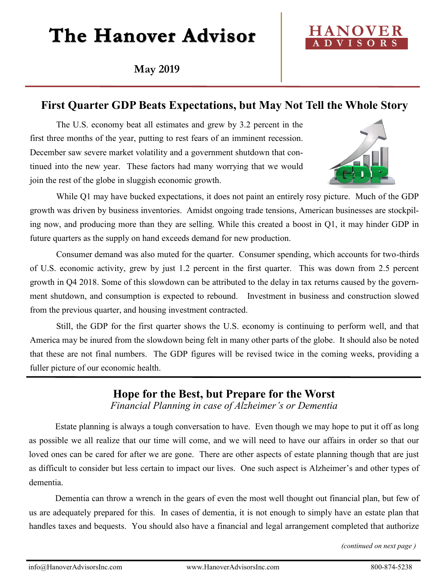# The Hanover Advisor

**May 2019**



#### **First Quarter GDP Beats Expectations, but May Not Tell the Whole Story**

The U.S. economy beat all estimates and grew by 3.2 percent in the first three months of the year, putting to rest fears of an imminent recession. December saw severe market volatility and a government shutdown that continued into the new year. These factors had many worrying that we would join the rest of the globe in sluggish economic growth.



While Q1 may have bucked expectations, it does not paint an entirely rosy picture. Much of the GDP growth was driven by business inventories. Amidst ongoing trade tensions, American businesses are stockpiling now, and producing more than they are selling. While this created a boost in Q1, it may hinder GDP in future quarters as the supply on hand exceeds demand for new production.

Consumer demand was also muted for the quarter. Consumer spending, which accounts for two-thirds of U.S. economic activity, grew by just 1.2 percent in the first quarter. This was down from 2.5 percent growth in Q4 2018. Some of this slowdown can be attributed to the delay in tax returns caused by the government shutdown, and consumption is expected to rebound. Investment in business and construction slowed from the previous quarter, and housing investment contracted.

Still, the GDP for the first quarter shows the U.S. economy is continuing to perform well, and that America may be inured from the slowdown being felt in many other parts of the globe. It should also be noted that these are not final numbers. The GDP figures will be revised twice in the coming weeks, providing a fuller picture of our economic health.

### **Hope for the Best, but Prepare for the Worst**

*Financial Planning in case of Alzheimer's or Dementia*

Estate planning is always a tough conversation to have. Even though we may hope to put it off as long as possible we all realize that our time will come, and we will need to have our affairs in order so that our loved ones can be cared for after we are gone. There are other aspects of estate planning though that are just as difficult to consider but less certain to impact our lives. One such aspect is Alzheimer's and other types of dementia.

Dementia can throw a wrench in the gears of even the most well thought out financial plan, but few of us are adequately prepared for this. In cases of dementia, it is not enough to simply have an estate plan that handles taxes and bequests. You should also have a financial and legal arrangement completed that authorize

*(continued on next page )*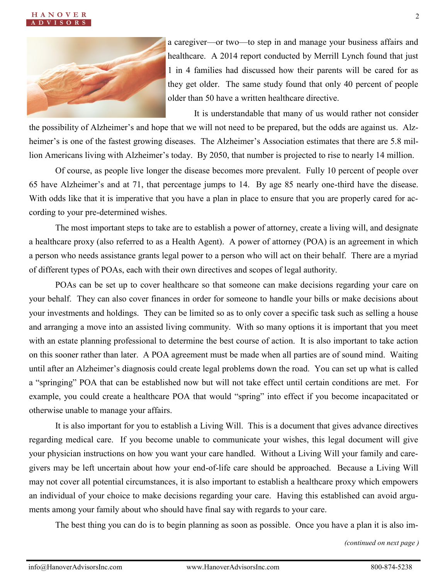



a caregiver—or two—to step in and manage your business affairs and healthcare. A 2014 report conducted by Merrill Lynch found that just 1 in 4 families had discussed how their parents will be cared for as they get older. The same study found that only 40 percent of people older than 50 have a written healthcare directive.

It is understandable that many of us would rather not consider

the possibility of Alzheimer's and hope that we will not need to be prepared, but the odds are against us. Alzheimer's is one of the fastest growing diseases. The Alzheimer's Association estimates that there are 5.8 million Americans living with Alzheimer's today. By 2050, that number is projected to rise to nearly 14 million.

Of course, as people live longer the disease becomes more prevalent. Fully 10 percent of people over 65 have Alzheimer's and at 71, that percentage jumps to 14. By age 85 nearly one-third have the disease. With odds like that it is imperative that you have a plan in place to ensure that you are properly cared for according to your pre-determined wishes.

The most important steps to take are to establish a power of attorney, create a living will, and designate a healthcare proxy (also referred to as a Health Agent). A power of attorney (POA) is an agreement in which a person who needs assistance grants legal power to a person who will act on their behalf. There are a myriad of different types of POAs, each with their own directives and scopes of legal authority.

POAs can be set up to cover healthcare so that someone can make decisions regarding your care on your behalf. They can also cover finances in order for someone to handle your bills or make decisions about your investments and holdings. They can be limited so as to only cover a specific task such as selling a house and arranging a move into an assisted living community. With so many options it is important that you meet with an estate planning professional to determine the best course of action. It is also important to take action on this sooner rather than later. A POA agreement must be made when all parties are of sound mind. Waiting until after an Alzheimer's diagnosis could create legal problems down the road. You can set up what is called a "springing" POA that can be established now but will not take effect until certain conditions are met. For example, you could create a healthcare POA that would "spring" into effect if you become incapacitated or otherwise unable to manage your affairs.

It is also important for you to establish a Living Will. This is a document that gives advance directives regarding medical care. If you become unable to communicate your wishes, this legal document will give your physician instructions on how you want your care handled. Without a Living Will your family and caregivers may be left uncertain about how your end-of-life care should be approached. Because a Living Will may not cover all potential circumstances, it is also important to establish a healthcare proxy which empowers an individual of your choice to make decisions regarding your care. Having this established can avoid arguments among your family about who should have final say with regards to your care.

The best thing you can do is to begin planning as soon as possible. Once you have a plan it is also im-

*(continued on next page )*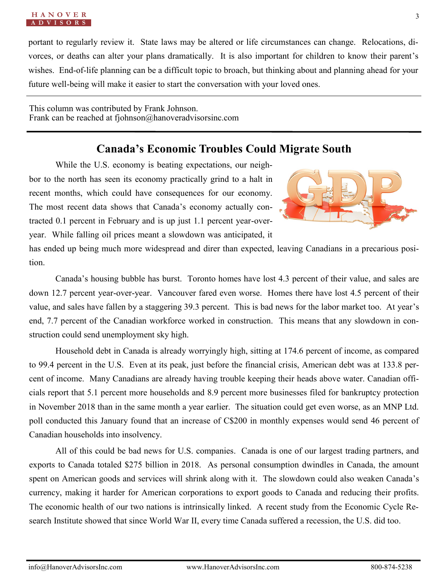#### **H A N O V E R** *<u>V* I S O R</u>

portant to regularly review it. State laws may be altered or life circumstances can change. Relocations, divorces, or deaths can alter your plans dramatically. It is also important for children to know their parent's wishes. End-of-life planning can be a difficult topic to broach, but thinking about and planning ahead for your future well-being will make it easier to start the conversation with your loved ones.

This column was contributed by Frank Johnson. Frank can be reached at fjohnson@hanoveradvisorsinc.com

#### **Canada's Economic Troubles Could Migrate South**

While the U.S. economy is beating expectations, our neighbor to the north has seen its economy practically grind to a halt in recent months, which could have consequences for our economy. The most recent data shows that Canada's economy actually contracted 0.1 percent in February and is up just 1.1 percent year-overyear. While falling oil prices meant a slowdown was anticipated, it



has ended up being much more widespread and direr than expected, leaving Canadians in a precarious position.

Canada's housing bubble has burst. Toronto homes have lost 4.3 percent of their value, and sales are down 12.7 percent year-over-year. Vancouver fared even worse. Homes there have lost 4.5 percent of their value, and sales have fallen by a staggering 39.3 percent. This is bad news for the labor market too. At year's end, 7.7 percent of the Canadian workforce worked in construction. This means that any slowdown in construction could send unemployment sky high.

Household debt in Canada is already worryingly high, sitting at 174.6 percent of income, as compared to 99.4 percent in the U.S. Even at its peak, just before the financial crisis, American debt was at 133.8 percent of income. Many Canadians are already having trouble keeping their heads above water. Canadian officials report that 5.1 percent more households and 8.9 percent more businesses filed for bankruptcy protection in November 2018 than in the same month a year earlier. The situation could get even worse, as an MNP Ltd. poll conducted this January found that an increase of C\$200 in monthly expenses would send 46 percent of Canadian households into insolvency.

All of this could be bad news for U.S. companies. Canada is one of our largest trading partners, and exports to Canada totaled \$275 billion in 2018. As personal consumption dwindles in Canada, the amount spent on American goods and services will shrink along with it. The slowdown could also weaken Canada's currency, making it harder for American corporations to export goods to Canada and reducing their profits. The economic health of our two nations is intrinsically linked. A recent study from the Economic Cycle Research Institute showed that since World War II, every time Canada suffered a recession, the U.S. did too.